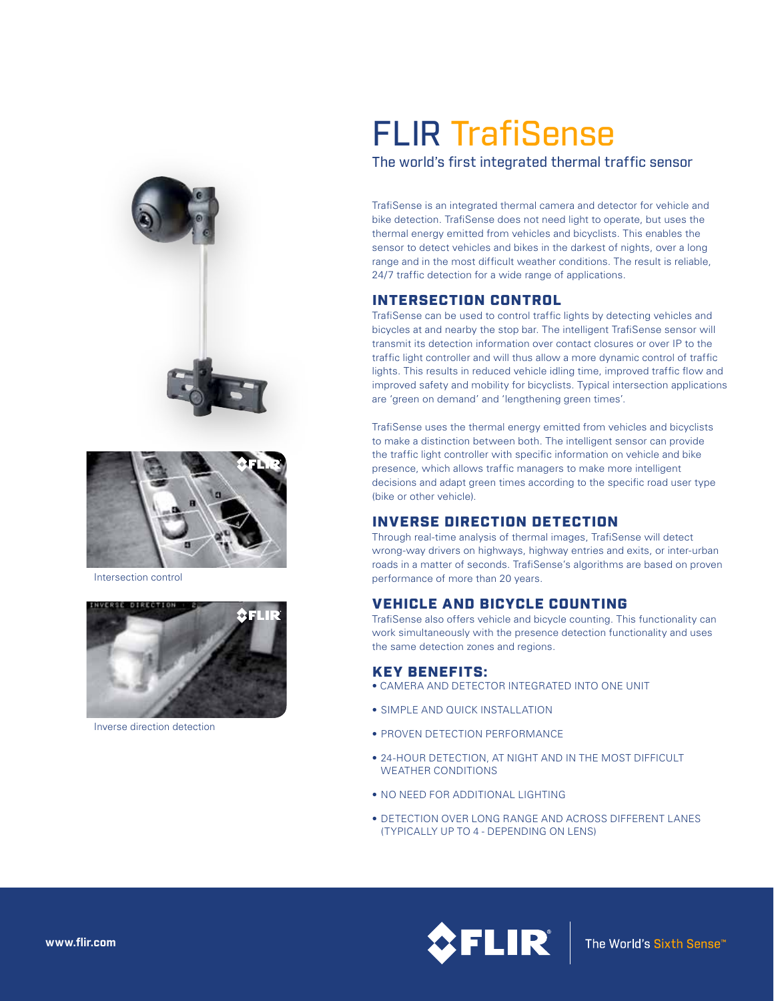



Intersection control



Inverse direction detection

# FLIR TrafiSense

The world's first integrated thermal traffic sensor

TrafiSense is an integrated thermal camera and detector for vehicle and bike detection. TrafiSense does not need light to operate, but uses the thermal energy emitted from vehicles and bicyclists. This enables the sensor to detect vehicles and bikes in the darkest of nights, over a long range and in the most difficult weather conditions. The result is reliable, 24/7 traffic detection for a wide range of applications.

## INTERSECTION CONTROL

TrafiSense can be used to control traffic lights by detecting vehicles and bicycles at and nearby the stop bar. The intelligent TrafiSense sensor will transmit its detection information over contact closures or over IP to the traffic light controller and will thus allow a more dynamic control of traffic lights. This results in reduced vehicle idling time, improved traffic flow and improved safety and mobility for bicyclists. Typical intersection applications are 'green on demand' and 'lengthening green times'.

TrafiSense uses the thermal energy emitted from vehicles and bicyclists to make a distinction between both. The intelligent sensor can provide the traffic light controller with specific information on vehicle and bike presence, which allows traffic managers to make more intelligent decisions and adapt green times according to the specific road user type (bike or other vehicle).

## INVERSE DIRECTION DETECTION

Through real-time analysis of thermal images, TrafiSense will detect wrong-way drivers on highways, highway entries and exits, or inter-urban roads in a matter of seconds. TrafiSense's algorithms are based on proven performance of more than 20 years.

## VEHICLE AND BICYCLE COUNTING

TrafiSense also offers vehicle and bicycle counting. This functionality can work simultaneously with the presence detection functionality and uses the same detection zones and regions.

### KEY BENEFITS:

- CAMERA AND DETECTOR INTEGRATED INTO ONE UNIT
- SIMPLE AND QUICK INSTALLATION
- PROVEN DETECTION PERFORMANCE
- 24-HOUR DETECTION, AT NIGHT AND IN THE MOST DIFFICULT WEATHER CONDITIONS
- NO NEED FOR ADDITIONAL LIGHTING
- DETECTION OVER LONG RANGE AND ACROSS DIFFERENT LANES (TYPICALLY UP TO 4 - DEPENDING ON LENS)